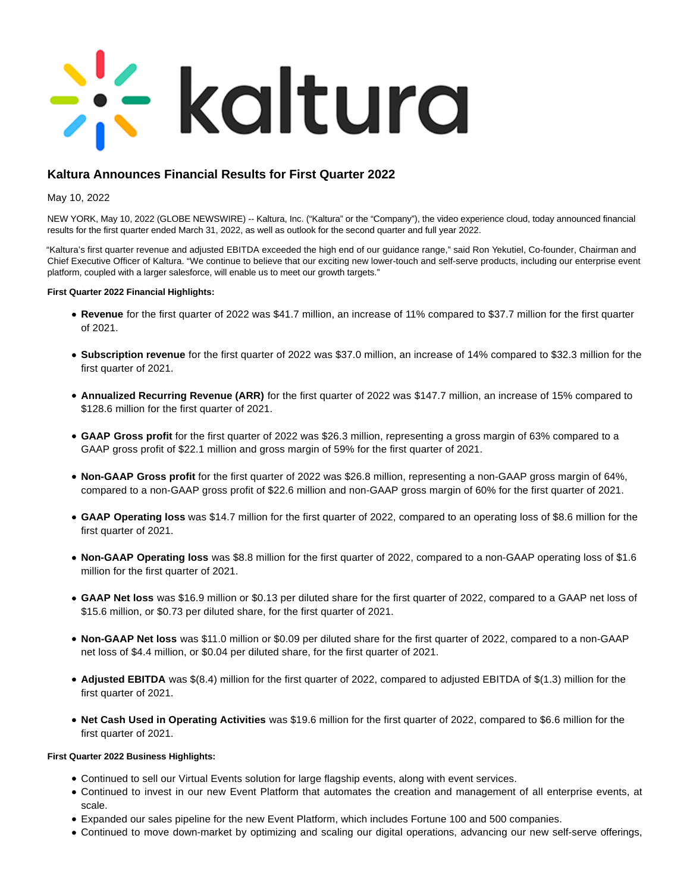# **Exaltura**

# **Kaltura Announces Financial Results for First Quarter 2022**

## May 10, 2022

NEW YORK, May 10, 2022 (GLOBE NEWSWIRE) -- Kaltura, Inc. ("Kaltura" or the "Company"), the video experience cloud, today announced financial results for the first quarter ended March 31, 2022, as well as outlook for the second quarter and full year 2022.

"Kaltura's first quarter revenue and adjusted EBITDA exceeded the high end of our guidance range," said Ron Yekutiel, Co-founder, Chairman and Chief Executive Officer of Kaltura. "We continue to believe that our exciting new lower-touch and self-serve products, including our enterprise event platform, coupled with a larger salesforce, will enable us to meet our growth targets."

#### **First Quarter 2022 Financial Highlights:**

- **Revenue** for the first quarter of 2022 was \$41.7 million, an increase of 11% compared to \$37.7 million for the first quarter of 2021.
- **Subscription revenue** for the first quarter of 2022 was \$37.0 million, an increase of 14% compared to \$32.3 million for the first quarter of 2021.
- **Annualized Recurring Revenue (ARR)** for the first quarter of 2022 was \$147.7 million, an increase of 15% compared to \$128.6 million for the first quarter of 2021.
- **GAAP Gross profit** for the first quarter of 2022 was \$26.3 million, representing a gross margin of 63% compared to a GAAP gross profit of \$22.1 million and gross margin of 59% for the first quarter of 2021.
- **Non-GAAP Gross profit** for the first quarter of 2022 was \$26.8 million, representing a non-GAAP gross margin of 64%, compared to a non-GAAP gross profit of \$22.6 million and non-GAAP gross margin of 60% for the first quarter of 2021.
- **GAAP Operating loss** was \$14.7 million for the first quarter of 2022, compared to an operating loss of \$8.6 million for the first quarter of 2021.
- **Non-GAAP Operating loss** was \$8.8 million for the first quarter of 2022, compared to a non-GAAP operating loss of \$1.6 million for the first quarter of 2021.
- **GAAP Net loss** was \$16.9 million or \$0.13 per diluted share for the first quarter of 2022, compared to a GAAP net loss of \$15.6 million, or \$0.73 per diluted share, for the first quarter of 2021.
- **Non-GAAP Net loss** was \$11.0 million or \$0.09 per diluted share for the first quarter of 2022, compared to a non-GAAP net loss of \$4.4 million, or \$0.04 per diluted share, for the first quarter of 2021.
- **Adjusted EBITDA** was \$(8.4) million for the first quarter of 2022, compared to adjusted EBITDA of \$(1.3) million for the first quarter of 2021.
- **Net Cash Used in Operating Activities** was \$19.6 million for the first quarter of 2022, compared to \$6.6 million for the first quarter of 2021.

#### **First Quarter 2022 Business Highlights:**

- Continued to sell our Virtual Events solution for large flagship events, along with event services.
- Continued to invest in our new Event Platform that automates the creation and management of all enterprise events, at scale.
- Expanded our sales pipeline for the new Event Platform, which includes Fortune 100 and 500 companies.
- Continued to move down-market by optimizing and scaling our digital operations, advancing our new self-serve offerings,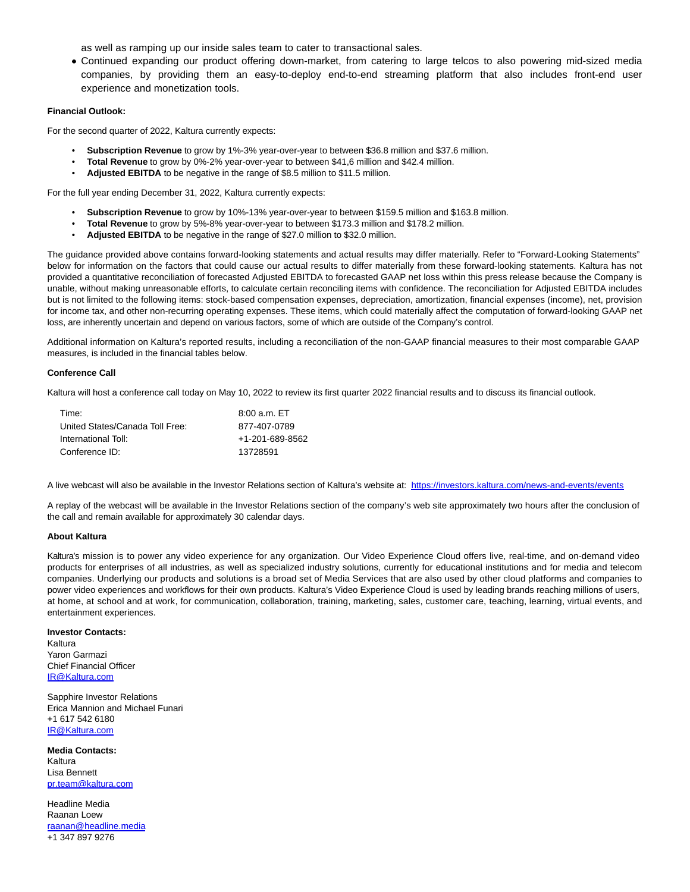as well as ramping up our inside sales team to cater to transactional sales.

Continued expanding our product offering down-market, from catering to large telcos to also powering mid-sized media companies, by providing them an easy-to-deploy end-to-end streaming platform that also includes front-end user experience and monetization tools.

#### **Financial Outlook:**

For the second quarter of 2022, Kaltura currently expects:

- **Subscription Revenue** to grow by 1%-3% year-over-year to between \$36.8 million and \$37.6 million.
- **Total Revenue** to grow by 0%-2% year-over-year to between \$41,6 million and \$42.4 million.
- Adjusted EBITDA to be negative in the range of \$8.5 million to \$11.5 million.

For the full year ending December 31, 2022, Kaltura currently expects:

- **Subscription Revenue** to grow by 10%-13% year-over-year to between \$159.5 million and \$163.8 million.
- **Total Revenue** to grow by 5%-8% year-over-year to between \$173.3 million and \$178.2 million.
- **Adjusted EBITDA** to be negative in the range of \$27.0 million to \$32.0 million.

The guidance provided above contains forward-looking statements and actual results may differ materially. Refer to "Forward-Looking Statements" below for information on the factors that could cause our actual results to differ materially from these forward-looking statements. Kaltura has not provided a quantitative reconciliation of forecasted Adjusted EBITDA to forecasted GAAP net loss within this press release because the Company is unable, without making unreasonable efforts, to calculate certain reconciling items with confidence. The reconciliation for Adjusted EBITDA includes but is not limited to the following items: stock-based compensation expenses, depreciation, amortization, financial expenses (income), net, provision for income tax, and other non-recurring operating expenses. These items, which could materially affect the computation of forward-looking GAAP net loss, are inherently uncertain and depend on various factors, some of which are outside of the Company's control.

Additional information on Kaltura's reported results, including a reconciliation of the non-GAAP financial measures to their most comparable GAAP measures, is included in the financial tables below.

#### **Conference Call**

Kaltura will host a conference call today on May 10, 2022 to review its first quarter 2022 financial results and to discuss its financial outlook.

| Time:                           | 8.00 a.m. E T   |
|---------------------------------|-----------------|
| United States/Canada Toll Free: | 877-407-0789    |
| International Toll:             | +1-201-689-8562 |
| Conference ID:                  | 13728591        |

A live webcast will also be available in the Investor Relations section of Kaltura's website at:<https://investors.kaltura.com/news-and-events/events>

A replay of the webcast will be available in the Investor Relations section of the company's web site approximately two hours after the conclusion of the call and remain available for approximately 30 calendar days.

#### **About Kaltura**

Kaltura's mission is to power any video experience for any organization. Our Video Experience Cloud offers live, real-time, and on-demand video products for enterprises of all industries, as well as specialized industry solutions, currently for educational institutions and for media and telecom companies. Underlying our products and solutions is a broad set of Media Services that are also used by other cloud platforms and companies to power video experiences and workflows for their own products. Kaltura's Video Experience Cloud is used by leading brands reaching millions of users, at home, at school and at work, for communication, collaboration, training, marketing, sales, customer care, teaching, learning, virtual events, and entertainment experiences.

#### **Investor Contacts:**

Kaltura Yaron Garmazi Chief Financial Officer [IR@Kaltura.com](mailto:IR@Kaltura.com)

Sapphire Investor Relations Erica Mannion and Michael Funari +1 617 542 6180 [IR@Kaltura.com](mailto:IR@Kaltura.com)

**Media Contacts:** Kaltura Lisa Bennett [pr.team@kaltura.com](mailto:pr.team@kaltura.com)

Headline Media Raanan Loew [raanan@headline.media](mailto:raanan@headline.media) +1 347 897 9276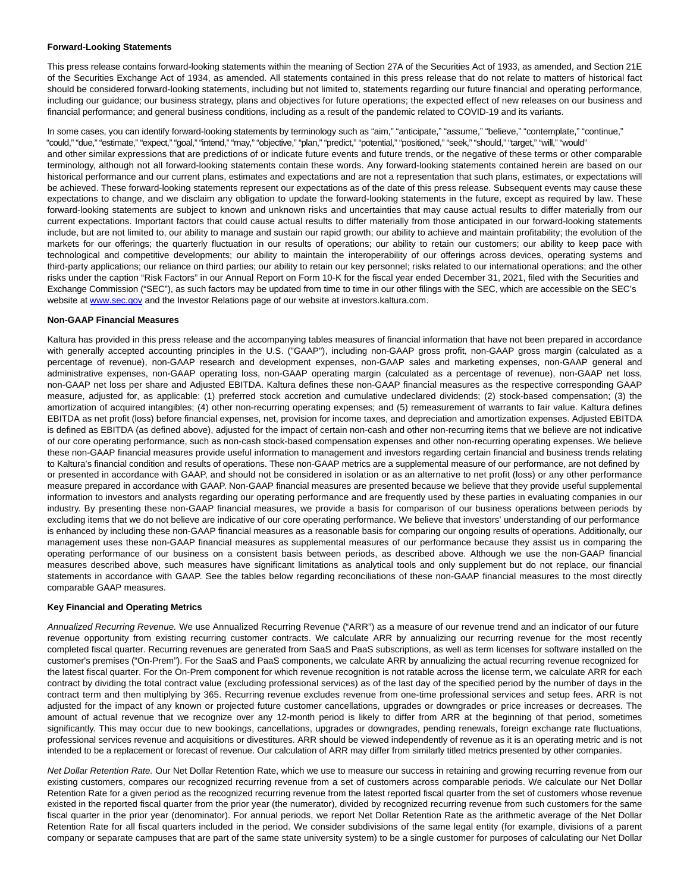#### **Forward-Looking Statements**

This press release contains forward-looking statements within the meaning of Section 27A of the Securities Act of 1933, as amended, and Section 21E of the Securities Exchange Act of 1934, as amended. All statements contained in this press release that do not relate to matters of historical fact should be considered forward-looking statements, including but not limited to, statements regarding our future financial and operating performance, including our guidance; our business strategy, plans and objectives for future operations; the expected effect of new releases on our business and financial performance; and general business conditions, including as a result of the pandemic related to COVID-19 and its variants.

In some cases, you can identify forward-looking statements by terminology such as "aim," "anticipate," "assume," "believe," "contemplate," "continue," "could," "due," "estimate," "expect," "goal," "intend," "may," "objective," "plan," "predict," "potential," "positioned," "seek," "should," "target," "will," "would" and other similar expressions that are predictions of or indicate future events and future trends, or the negative of these terms or other comparable terminology, although not all forward-looking statements contain these words. Any forward-looking statements contained herein are based on our historical performance and our current plans, estimates and expectations and are not a representation that such plans, estimates, or expectations will be achieved. These forward-looking statements represent our expectations as of the date of this press release. Subsequent events may cause these expectations to change, and we disclaim any obligation to update the forward-looking statements in the future, except as required by law. These forward-looking statements are subject to known and unknown risks and uncertainties that may cause actual results to differ materially from our current expectations. Important factors that could cause actual results to differ materially from those anticipated in our forward-looking statements include, but are not limited to, our ability to manage and sustain our rapid growth; our ability to achieve and maintain profitability; the evolution of the markets for our offerings; the quarterly fluctuation in our results of operations; our ability to retain our customers; our ability to keep pace with technological and competitive developments; our ability to maintain the interoperability of our offerings across devices, operating systems and third-party applications; our reliance on third parties; our ability to retain our key personnel; risks related to our international operations; and the other risks under the caption "Risk Factors" in our Annual Report on Form 10-K for the fiscal year ended December 31, 2021, filed with the Securities and Exchange Commission ("SEC"), as such factors may be updated from time to time in our other filings with the SEC, which are accessible on the SEC's website at [www.sec.gov a](http://www.sec.gov/)nd the Investor Relations page of our website at investors.kaltura.com.

#### **Non-GAAP Financial Measures**

Kaltura has provided in this press release and the accompanying tables measures of financial information that have not been prepared in accordance with generally accepted accounting principles in the U.S. ("GAAP"), including non-GAAP gross profit, non-GAAP gross margin (calculated as a percentage of revenue), non-GAAP research and development expenses, non-GAAP sales and marketing expenses, non-GAAP general and administrative expenses, non-GAAP operating loss, non-GAAP operating margin (calculated as a percentage of revenue), non-GAAP net loss, non-GAAP net loss per share and Adjusted EBITDA. Kaltura defines these non-GAAP financial measures as the respective corresponding GAAP measure, adjusted for, as applicable: (1) preferred stock accretion and cumulative undeclared dividends; (2) stock-based compensation; (3) the amortization of acquired intangibles; (4) other non-recurring operating expenses; and (5) remeasurement of warrants to fair value. Kaltura defines EBITDA as net profit (loss) before financial expenses, net, provision for income taxes, and depreciation and amortization expenses. Adjusted EBITDA is defined as EBITDA (as defined above), adjusted for the impact of certain non-cash and other non-recurring items that we believe are not indicative of our core operating performance, such as non-cash stock-based compensation expenses and other non-recurring operating expenses. We believe these non-GAAP financial measures provide useful information to management and investors regarding certain financial and business trends relating to Kaltura's financial condition and results of operations. These non-GAAP metrics are a supplemental measure of our performance, are not defined by or presented in accordance with GAAP, and should not be considered in isolation or as an alternative to net profit (loss) or any other performance measure prepared in accordance with GAAP. Non-GAAP financial measures are presented because we believe that they provide useful supplemental information to investors and analysts regarding our operating performance and are frequently used by these parties in evaluating companies in our industry. By presenting these non-GAAP financial measures, we provide a basis for comparison of our business operations between periods by excluding items that we do not believe are indicative of our core operating performance. We believe that investors' understanding of our performance is enhanced by including these non-GAAP financial measures as a reasonable basis for comparing our ongoing results of operations. Additionally, our management uses these non-GAAP financial measures as supplemental measures of our performance because they assist us in comparing the operating performance of our business on a consistent basis between periods, as described above. Although we use the non-GAAP financial measures described above, such measures have significant limitations as analytical tools and only supplement but do not replace, our financial statements in accordance with GAAP. See the tables below regarding reconciliations of these non-GAAP financial measures to the most directly comparable GAAP measures.

#### **Key Financial and Operating Metrics**

Annualized Recurring Revenue. We use Annualized Recurring Revenue ("ARR") as a measure of our revenue trend and an indicator of our future revenue opportunity from existing recurring customer contracts. We calculate ARR by annualizing our recurring revenue for the most recently completed fiscal quarter. Recurring revenues are generated from SaaS and PaaS subscriptions, as well as term licenses for software installed on the customer's premises ("On-Prem"). For the SaaS and PaaS components, we calculate ARR by annualizing the actual recurring revenue recognized for the latest fiscal quarter. For the On-Prem component for which revenue recognition is not ratable across the license term, we calculate ARR for each contract by dividing the total contract value (excluding professional services) as of the last day of the specified period by the number of days in the contract term and then multiplying by 365. Recurring revenue excludes revenue from one-time professional services and setup fees. ARR is not adjusted for the impact of any known or projected future customer cancellations, upgrades or downgrades or price increases or decreases. The amount of actual revenue that we recognize over any 12-month period is likely to differ from ARR at the beginning of that period, sometimes significantly. This may occur due to new bookings, cancellations, upgrades or downgrades, pending renewals, foreign exchange rate fluctuations, professional services revenue and acquisitions or divestitures. ARR should be viewed independently of revenue as it is an operating metric and is not intended to be a replacement or forecast of revenue. Our calculation of ARR may differ from similarly titled metrics presented by other companies.

Net Dollar Retention Rate. Our Net Dollar Retention Rate, which we use to measure our success in retaining and growing recurring revenue from our existing customers, compares our recognized recurring revenue from a set of customers across comparable periods. We calculate our Net Dollar Retention Rate for a given period as the recognized recurring revenue from the latest reported fiscal quarter from the set of customers whose revenue existed in the reported fiscal quarter from the prior year (the numerator), divided by recognized recurring revenue from such customers for the same fiscal quarter in the prior year (denominator). For annual periods, we report Net Dollar Retention Rate as the arithmetic average of the Net Dollar Retention Rate for all fiscal quarters included in the period. We consider subdivisions of the same legal entity (for example, divisions of a parent company or separate campuses that are part of the same state university system) to be a single customer for purposes of calculating our Net Dollar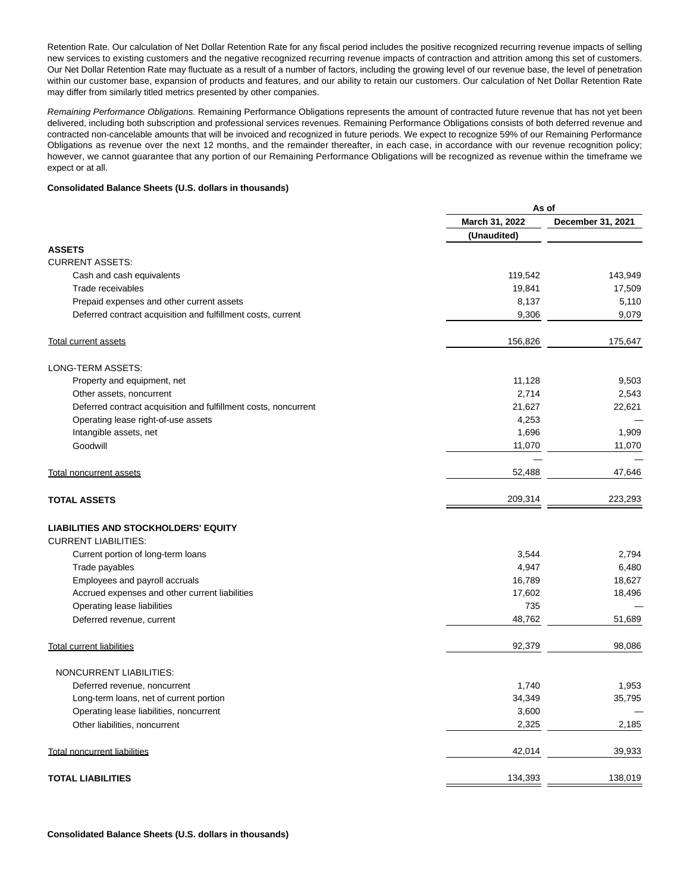Retention Rate. Our calculation of Net Dollar Retention Rate for any fiscal period includes the positive recognized recurring revenue impacts of selling new services to existing customers and the negative recognized recurring revenue impacts of contraction and attrition among this set of customers. Our Net Dollar Retention Rate may fluctuate as a result of a number of factors, including the growing level of our revenue base, the level of penetration within our customer base, expansion of products and features, and our ability to retain our customers. Our calculation of Net Dollar Retention Rate may differ from similarly titled metrics presented by other companies.

Remaining Performance Obligations. Remaining Performance Obligations represents the amount of contracted future revenue that has not yet been delivered, including both subscription and professional services revenues. Remaining Performance Obligations consists of both deferred revenue and contracted non-cancelable amounts that will be invoiced and recognized in future periods. We expect to recognize 59% of our Remaining Performance Obligations as revenue over the next 12 months, and the remainder thereafter, in each case, in accordance with our revenue recognition policy; however, we cannot guarantee that any portion of our Remaining Performance Obligations will be recognized as revenue within the timeframe we expect or at all.

#### **Consolidated Balance Sheets (U.S. dollars in thousands)**

| March 31, 2022<br>December 31, 2021<br>(Unaudited)<br><b>ASSETS</b><br><b>CURRENT ASSETS:</b><br>119,542<br>143,949<br>Cash and cash equivalents<br>17,509<br>Trade receivables<br>19,841<br>8,137<br>5,110<br>Prepaid expenses and other current assets<br>9,079<br>9,306<br>Deferred contract acquisition and fulfillment costs, current<br>175,647<br>156,826<br>Total current assets<br>LONG-TERM ASSETS:<br>11,128<br>9,503<br>Property and equipment, net<br>2,714<br>2,543<br>Other assets, noncurrent<br>21,627<br>22,621<br>Deferred contract acquisition and fulfillment costs, noncurrent<br>4,253<br>Operating lease right-of-use assets<br>Intangible assets, net<br>1,696<br>1,909<br>Goodwill<br>11,070<br>11,070<br>52,488<br>47,646<br><b>Total noncurrent assets</b><br>209,314<br>223,293<br><b>TOTAL ASSETS</b><br><b>LIABILITIES AND STOCKHOLDERS' EQUITY</b><br><b>CURRENT LIABILITIES:</b><br>2,794<br>Current portion of long-term loans<br>3,544<br>Trade payables<br>4,947<br>6,480<br>Employees and payroll accruals<br>16,789<br>18,627<br>Accrued expenses and other current liabilities<br>17,602<br>18,496<br>735<br>Operating lease liabilities<br>48,762<br>Deferred revenue, current<br>51,689<br>92,379<br>98,086<br><b>Total current liabilities</b><br>NONCURRENT LIABILITIES:<br>1,740<br>1,953<br>Deferred revenue, noncurrent<br>Long-term loans, net of current portion<br>34,349<br>35,795<br>Operating lease liabilities, noncurrent<br>3,600<br>2,325<br>Other liabilities, noncurrent<br>2,185<br>42,014<br>39,933<br><b>Total noncurrent liabilities</b><br>134,393<br>138,019<br><b>TOTAL LIABILITIES</b> | As of |  |
|----------------------------------------------------------------------------------------------------------------------------------------------------------------------------------------------------------------------------------------------------------------------------------------------------------------------------------------------------------------------------------------------------------------------------------------------------------------------------------------------------------------------------------------------------------------------------------------------------------------------------------------------------------------------------------------------------------------------------------------------------------------------------------------------------------------------------------------------------------------------------------------------------------------------------------------------------------------------------------------------------------------------------------------------------------------------------------------------------------------------------------------------------------------------------------------------------------------------------------------------------------------------------------------------------------------------------------------------------------------------------------------------------------------------------------------------------------------------------------------------------------------------------------------------------------------------------------------------------------------------------------------------------------|-------|--|
|                                                                                                                                                                                                                                                                                                                                                                                                                                                                                                                                                                                                                                                                                                                                                                                                                                                                                                                                                                                                                                                                                                                                                                                                                                                                                                                                                                                                                                                                                                                                                                                                                                                          |       |  |
|                                                                                                                                                                                                                                                                                                                                                                                                                                                                                                                                                                                                                                                                                                                                                                                                                                                                                                                                                                                                                                                                                                                                                                                                                                                                                                                                                                                                                                                                                                                                                                                                                                                          |       |  |
|                                                                                                                                                                                                                                                                                                                                                                                                                                                                                                                                                                                                                                                                                                                                                                                                                                                                                                                                                                                                                                                                                                                                                                                                                                                                                                                                                                                                                                                                                                                                                                                                                                                          |       |  |
|                                                                                                                                                                                                                                                                                                                                                                                                                                                                                                                                                                                                                                                                                                                                                                                                                                                                                                                                                                                                                                                                                                                                                                                                                                                                                                                                                                                                                                                                                                                                                                                                                                                          |       |  |
|                                                                                                                                                                                                                                                                                                                                                                                                                                                                                                                                                                                                                                                                                                                                                                                                                                                                                                                                                                                                                                                                                                                                                                                                                                                                                                                                                                                                                                                                                                                                                                                                                                                          |       |  |
|                                                                                                                                                                                                                                                                                                                                                                                                                                                                                                                                                                                                                                                                                                                                                                                                                                                                                                                                                                                                                                                                                                                                                                                                                                                                                                                                                                                                                                                                                                                                                                                                                                                          |       |  |
|                                                                                                                                                                                                                                                                                                                                                                                                                                                                                                                                                                                                                                                                                                                                                                                                                                                                                                                                                                                                                                                                                                                                                                                                                                                                                                                                                                                                                                                                                                                                                                                                                                                          |       |  |
|                                                                                                                                                                                                                                                                                                                                                                                                                                                                                                                                                                                                                                                                                                                                                                                                                                                                                                                                                                                                                                                                                                                                                                                                                                                                                                                                                                                                                                                                                                                                                                                                                                                          |       |  |
|                                                                                                                                                                                                                                                                                                                                                                                                                                                                                                                                                                                                                                                                                                                                                                                                                                                                                                                                                                                                                                                                                                                                                                                                                                                                                                                                                                                                                                                                                                                                                                                                                                                          |       |  |
|                                                                                                                                                                                                                                                                                                                                                                                                                                                                                                                                                                                                                                                                                                                                                                                                                                                                                                                                                                                                                                                                                                                                                                                                                                                                                                                                                                                                                                                                                                                                                                                                                                                          |       |  |
|                                                                                                                                                                                                                                                                                                                                                                                                                                                                                                                                                                                                                                                                                                                                                                                                                                                                                                                                                                                                                                                                                                                                                                                                                                                                                                                                                                                                                                                                                                                                                                                                                                                          |       |  |
|                                                                                                                                                                                                                                                                                                                                                                                                                                                                                                                                                                                                                                                                                                                                                                                                                                                                                                                                                                                                                                                                                                                                                                                                                                                                                                                                                                                                                                                                                                                                                                                                                                                          |       |  |
|                                                                                                                                                                                                                                                                                                                                                                                                                                                                                                                                                                                                                                                                                                                                                                                                                                                                                                                                                                                                                                                                                                                                                                                                                                                                                                                                                                                                                                                                                                                                                                                                                                                          |       |  |
|                                                                                                                                                                                                                                                                                                                                                                                                                                                                                                                                                                                                                                                                                                                                                                                                                                                                                                                                                                                                                                                                                                                                                                                                                                                                                                                                                                                                                                                                                                                                                                                                                                                          |       |  |
|                                                                                                                                                                                                                                                                                                                                                                                                                                                                                                                                                                                                                                                                                                                                                                                                                                                                                                                                                                                                                                                                                                                                                                                                                                                                                                                                                                                                                                                                                                                                                                                                                                                          |       |  |
|                                                                                                                                                                                                                                                                                                                                                                                                                                                                                                                                                                                                                                                                                                                                                                                                                                                                                                                                                                                                                                                                                                                                                                                                                                                                                                                                                                                                                                                                                                                                                                                                                                                          |       |  |
|                                                                                                                                                                                                                                                                                                                                                                                                                                                                                                                                                                                                                                                                                                                                                                                                                                                                                                                                                                                                                                                                                                                                                                                                                                                                                                                                                                                                                                                                                                                                                                                                                                                          |       |  |
|                                                                                                                                                                                                                                                                                                                                                                                                                                                                                                                                                                                                                                                                                                                                                                                                                                                                                                                                                                                                                                                                                                                                                                                                                                                                                                                                                                                                                                                                                                                                                                                                                                                          |       |  |
|                                                                                                                                                                                                                                                                                                                                                                                                                                                                                                                                                                                                                                                                                                                                                                                                                                                                                                                                                                                                                                                                                                                                                                                                                                                                                                                                                                                                                                                                                                                                                                                                                                                          |       |  |
|                                                                                                                                                                                                                                                                                                                                                                                                                                                                                                                                                                                                                                                                                                                                                                                                                                                                                                                                                                                                                                                                                                                                                                                                                                                                                                                                                                                                                                                                                                                                                                                                                                                          |       |  |
|                                                                                                                                                                                                                                                                                                                                                                                                                                                                                                                                                                                                                                                                                                                                                                                                                                                                                                                                                                                                                                                                                                                                                                                                                                                                                                                                                                                                                                                                                                                                                                                                                                                          |       |  |
|                                                                                                                                                                                                                                                                                                                                                                                                                                                                                                                                                                                                                                                                                                                                                                                                                                                                                                                                                                                                                                                                                                                                                                                                                                                                                                                                                                                                                                                                                                                                                                                                                                                          |       |  |
|                                                                                                                                                                                                                                                                                                                                                                                                                                                                                                                                                                                                                                                                                                                                                                                                                                                                                                                                                                                                                                                                                                                                                                                                                                                                                                                                                                                                                                                                                                                                                                                                                                                          |       |  |
|                                                                                                                                                                                                                                                                                                                                                                                                                                                                                                                                                                                                                                                                                                                                                                                                                                                                                                                                                                                                                                                                                                                                                                                                                                                                                                                                                                                                                                                                                                                                                                                                                                                          |       |  |
|                                                                                                                                                                                                                                                                                                                                                                                                                                                                                                                                                                                                                                                                                                                                                                                                                                                                                                                                                                                                                                                                                                                                                                                                                                                                                                                                                                                                                                                                                                                                                                                                                                                          |       |  |
|                                                                                                                                                                                                                                                                                                                                                                                                                                                                                                                                                                                                                                                                                                                                                                                                                                                                                                                                                                                                                                                                                                                                                                                                                                                                                                                                                                                                                                                                                                                                                                                                                                                          |       |  |
|                                                                                                                                                                                                                                                                                                                                                                                                                                                                                                                                                                                                                                                                                                                                                                                                                                                                                                                                                                                                                                                                                                                                                                                                                                                                                                                                                                                                                                                                                                                                                                                                                                                          |       |  |
|                                                                                                                                                                                                                                                                                                                                                                                                                                                                                                                                                                                                                                                                                                                                                                                                                                                                                                                                                                                                                                                                                                                                                                                                                                                                                                                                                                                                                                                                                                                                                                                                                                                          |       |  |
|                                                                                                                                                                                                                                                                                                                                                                                                                                                                                                                                                                                                                                                                                                                                                                                                                                                                                                                                                                                                                                                                                                                                                                                                                                                                                                                                                                                                                                                                                                                                                                                                                                                          |       |  |
|                                                                                                                                                                                                                                                                                                                                                                                                                                                                                                                                                                                                                                                                                                                                                                                                                                                                                                                                                                                                                                                                                                                                                                                                                                                                                                                                                                                                                                                                                                                                                                                                                                                          |       |  |
|                                                                                                                                                                                                                                                                                                                                                                                                                                                                                                                                                                                                                                                                                                                                                                                                                                                                                                                                                                                                                                                                                                                                                                                                                                                                                                                                                                                                                                                                                                                                                                                                                                                          |       |  |
|                                                                                                                                                                                                                                                                                                                                                                                                                                                                                                                                                                                                                                                                                                                                                                                                                                                                                                                                                                                                                                                                                                                                                                                                                                                                                                                                                                                                                                                                                                                                                                                                                                                          |       |  |
|                                                                                                                                                                                                                                                                                                                                                                                                                                                                                                                                                                                                                                                                                                                                                                                                                                                                                                                                                                                                                                                                                                                                                                                                                                                                                                                                                                                                                                                                                                                                                                                                                                                          |       |  |
|                                                                                                                                                                                                                                                                                                                                                                                                                                                                                                                                                                                                                                                                                                                                                                                                                                                                                                                                                                                                                                                                                                                                                                                                                                                                                                                                                                                                                                                                                                                                                                                                                                                          |       |  |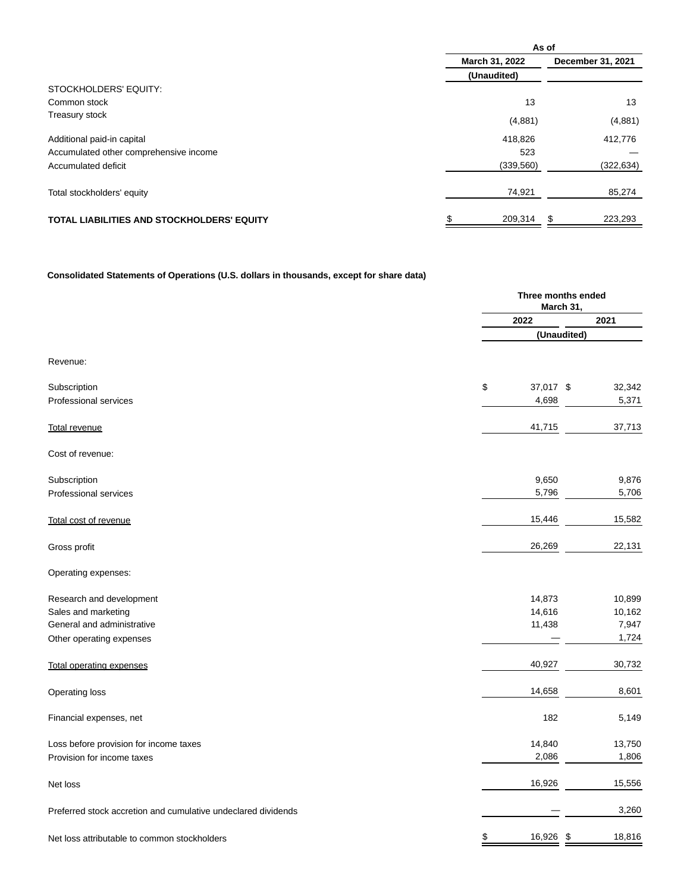|                                                   | As of          |                   |  |  |
|---------------------------------------------------|----------------|-------------------|--|--|
|                                                   | March 31, 2022 | December 31, 2021 |  |  |
|                                                   | (Unaudited)    |                   |  |  |
| STOCKHOLDERS' EQUITY:                             |                |                   |  |  |
| Common stock                                      | 13             | 13                |  |  |
| Treasury stock                                    | (4,881)        | (4,881)           |  |  |
| Additional paid-in capital                        | 418,826        | 412,776           |  |  |
| Accumulated other comprehensive income            | 523            |                   |  |  |
| Accumulated deficit                               | (339, 560)     | (322, 634)        |  |  |
| Total stockholders' equity                        | 74,921         | 85,274            |  |  |
| <b>TOTAL LIABILITIES AND STOCKHOLDERS' EQUITY</b> | 209,314        | 223,293<br>\$     |  |  |

# **Consolidated Statements of Operations (U.S. dollars in thousands, except for share data)**

|                                                               | Three months ended<br>March 31, |              |  |
|---------------------------------------------------------------|---------------------------------|--------------|--|
|                                                               | 2022                            | 2021         |  |
|                                                               |                                 | (Unaudited)  |  |
| Revenue:                                                      |                                 |              |  |
| Subscription                                                  | \$<br>37,017 \$                 | 32,342       |  |
| Professional services                                         | 4,698                           | 5,371        |  |
| <b>Total revenue</b>                                          | 41,715                          | 37,713       |  |
| Cost of revenue:                                              |                                 |              |  |
| Subscription                                                  | 9,650                           | 9,876        |  |
| Professional services                                         | 5,796                           | 5,706        |  |
| Total cost of revenue                                         | 15,446                          | 15,582       |  |
| Gross profit                                                  | 26,269                          | 22,131       |  |
| Operating expenses:                                           |                                 |              |  |
| Research and development                                      | 14,873                          | 10,899       |  |
| Sales and marketing                                           | 14,616                          | 10,162       |  |
| General and administrative                                    | 11,438                          | 7,947        |  |
| Other operating expenses                                      |                                 | 1,724        |  |
| <b>Total operating expenses</b>                               | 40,927                          | 30,732       |  |
| Operating loss                                                | 14,658                          | 8,601        |  |
| Financial expenses, net                                       | 182                             | 5,149        |  |
| Loss before provision for income taxes                        | 14,840                          | 13,750       |  |
| Provision for income taxes                                    | 2,086                           | 1,806        |  |
| Net loss                                                      | 16,926                          | 15,556       |  |
| Preferred stock accretion and cumulative undeclared dividends |                                 | 3,260        |  |
| Net loss attributable to common stockholders                  | \$<br>16,926                    | \$<br>18,816 |  |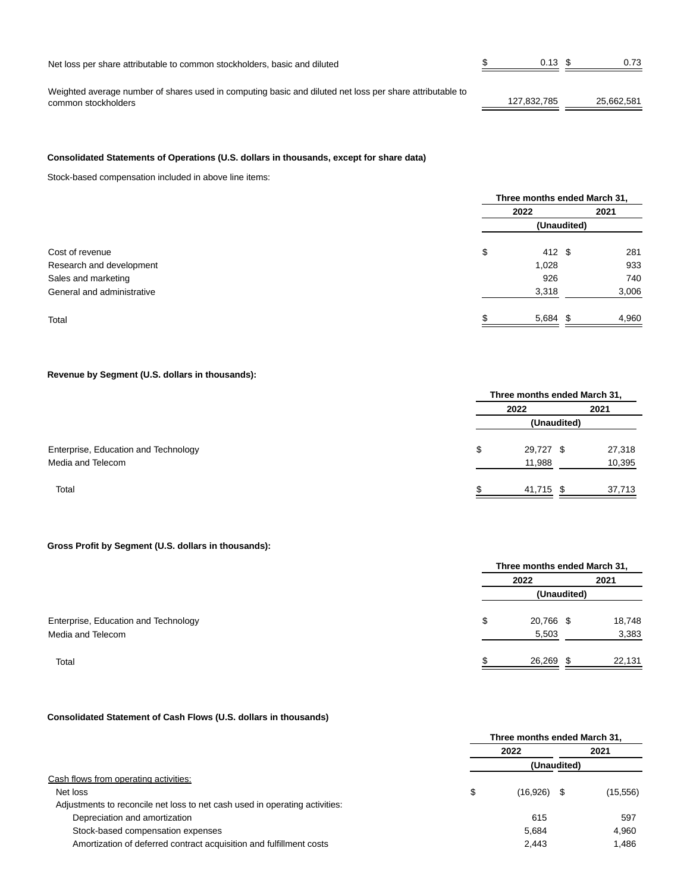| Net loss per share attributable to common stockholders, basic and diluted                                | 0.13        |            |
|----------------------------------------------------------------------------------------------------------|-------------|------------|
|                                                                                                          |             |            |
| Weighted average number of shares used in computing basic and diluted net loss per share attributable to |             |            |
| common stockholders                                                                                      | 127.832.785 | 25.662.581 |

## **Consolidated Statements of Operations (U.S. dollars in thousands, except for share data)**

Stock-based compensation included in above line items:

|                            |    | Three months ended March 31, |       |  |  |
|----------------------------|----|------------------------------|-------|--|--|
|                            |    | 2022                         | 2021  |  |  |
|                            |    |                              |       |  |  |
| Cost of revenue            | \$ | 412 \$                       | 281   |  |  |
| Research and development   |    | 1,028                        | 933   |  |  |
| Sales and marketing        |    | 926                          | 740   |  |  |
| General and administrative |    | 3,318                        | 3,006 |  |  |
| Total                      |    | $5,684$ \$                   | 4,960 |  |  |

## **Revenue by Segment (U.S. dollars in thousands):**

|                                      |    | Three months ended March 31, |  |        |  |
|--------------------------------------|----|------------------------------|--|--------|--|
|                                      |    | 2021<br>2022<br>(Unaudited)  |  |        |  |
|                                      |    |                              |  |        |  |
| Enterprise, Education and Technology | \$ | 29,727 \$                    |  | 27,318 |  |
| Media and Telecom                    |    | 11,988                       |  | 10,395 |  |
| Total                                |    | 41,715 \$                    |  | 37.713 |  |

### **Gross Profit by Segment (U.S. dollars in thousands):**

|                                      | Three months ended March 31, |      |        |  |
|--------------------------------------|------------------------------|------|--------|--|
|                                      | 2022                         | 2021 |        |  |
|                                      | (Unaudited)                  |      |        |  |
| Enterprise, Education and Technology | \$<br>20,766 \$              |      | 18,748 |  |
| Media and Telecom                    | 5,503                        |      | 3,383  |  |
| Total                                | 26,269                       | ъ    | 22,131 |  |

## **Consolidated Statement of Cash Flows (U.S. dollars in thousands)**

|                                                                             | Three months ended March 31, |          |             |           |
|-----------------------------------------------------------------------------|------------------------------|----------|-------------|-----------|
|                                                                             | 2022                         |          |             | 2021      |
|                                                                             |                              |          | (Unaudited) |           |
| Cash flows from operating activities:                                       |                              |          |             |           |
| Net loss                                                                    | \$                           | (16,926) |             | (15, 556) |
| Adjustments to reconcile net loss to net cash used in operating activities: |                              |          |             |           |
| Depreciation and amortization                                               |                              | 615      |             | 597       |
| Stock-based compensation expenses                                           |                              | 5.684    |             | 4.960     |
| Amortization of deferred contract acquisition and fulfillment costs         |                              | 2,443    |             | 1,486     |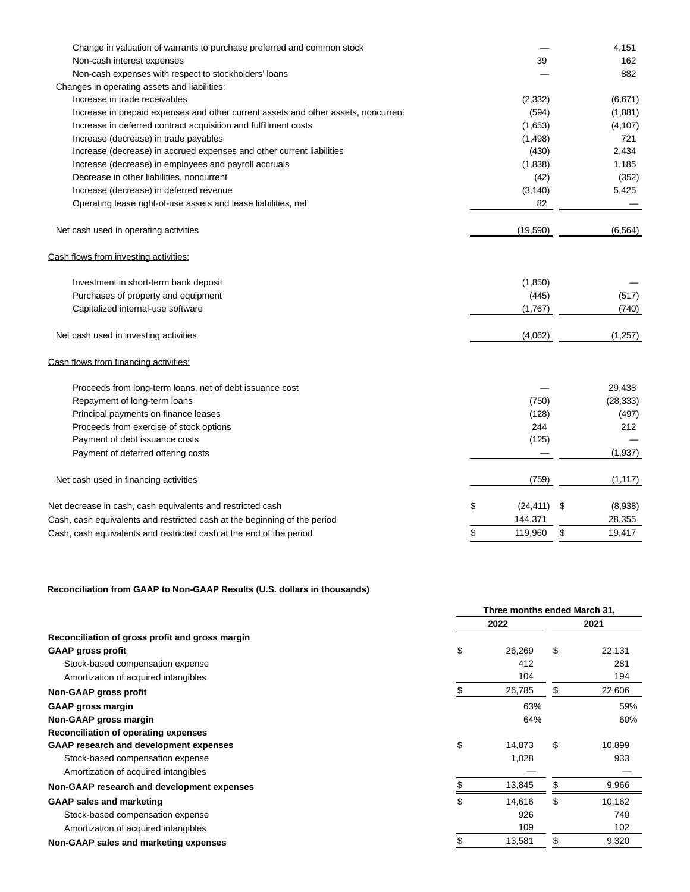| Change in valuation of warrants to purchase preferred and common stock             |                 | 4,151         |
|------------------------------------------------------------------------------------|-----------------|---------------|
| Non-cash interest expenses                                                         | 39              | 162           |
| Non-cash expenses with respect to stockholders' loans                              |                 | 882           |
| Changes in operating assets and liabilities:                                       |                 |               |
| Increase in trade receivables                                                      | (2, 332)        | (6,671)       |
| Increase in prepaid expenses and other current assets and other assets, noncurrent | (594)           | (1,881)       |
| Increase in deferred contract acquisition and fulfillment costs                    | (1,653)         | (4, 107)      |
| Increase (decrease) in trade payables                                              | (1, 498)        | 721           |
| Increase (decrease) in accrued expenses and other current liabilities              | (430)           | 2,434         |
| Increase (decrease) in employees and payroll accruals                              | (1,838)         | 1,185         |
| Decrease in other liabilities, noncurrent                                          | (42)            | (352)         |
| Increase (decrease) in deferred revenue                                            | (3, 140)        | 5,425         |
| Operating lease right-of-use assets and lease liabilities, net                     | 82              |               |
| Net cash used in operating activities                                              | (19,590)        | (6, 564)      |
| Cash flows from investing activities:                                              |                 |               |
| Investment in short-term bank deposit                                              | (1,850)         |               |
| Purchases of property and equipment                                                | (445)           | (517)         |
| Capitalized internal-use software                                                  | (1,767)         | (740)         |
| Net cash used in investing activities                                              | (4,062)         | (1,257)       |
| Cash flows from financing activities:                                              |                 |               |
| Proceeds from long-term loans, net of debt issuance cost                           |                 | 29,438        |
| Repayment of long-term loans                                                       | (750)           | (28, 333)     |
| Principal payments on finance leases                                               | (128)           | (497)         |
| Proceeds from exercise of stock options                                            | 244             | 212           |
| Payment of debt issuance costs                                                     | (125)           |               |
| Payment of deferred offering costs                                                 |                 | (1,937)       |
| Net cash used in financing activities                                              | (759)           | (1, 117)      |
| Net decrease in cash, cash equivalents and restricted cash                         | \$<br>(24, 411) | \$<br>(8,938) |
| Cash, cash equivalents and restricted cash at the beginning of the period          | 144,371         | 28,355        |
| Cash, cash equivalents and restricted cash at the end of the period                | \$<br>119,960   | \$<br>19,417  |

# **Reconciliation from GAAP to Non-GAAP Results (U.S. dollars in thousands)**

|                                                 | Three months ended March 31. |        |     |        |
|-------------------------------------------------|------------------------------|--------|-----|--------|
|                                                 |                              | 2022   |     |        |
| Reconciliation of gross profit and gross margin |                              |        |     |        |
| <b>GAAP gross profit</b>                        | \$                           | 26,269 | \$  | 22,131 |
| Stock-based compensation expense                |                              | 412    |     | 281    |
| Amortization of acquired intangibles            |                              | 104    |     | 194    |
| Non-GAAP gross profit                           |                              | 26,785 | \$. | 22,606 |
| <b>GAAP gross margin</b>                        |                              | 63%    |     | 59%    |
| Non-GAAP gross margin                           |                              | 64%    |     | 60%    |
| Reconciliation of operating expenses            |                              |        |     |        |
| <b>GAAP research and development expenses</b>   | \$                           | 14.873 | \$  | 10,899 |
| Stock-based compensation expense                |                              | 1,028  |     | 933    |
| Amortization of acquired intangibles            |                              |        |     |        |
| Non-GAAP research and development expenses      |                              | 13,845 | \$  | 9,966  |
| <b>GAAP sales and marketing</b>                 | \$                           | 14,616 | \$  | 10,162 |
| Stock-based compensation expense                |                              | 926    |     | 740    |
| Amortization of acquired intangibles            |                              | 109    |     | 102    |
| Non-GAAP sales and marketing expenses           |                              | 13,581 |     | 9,320  |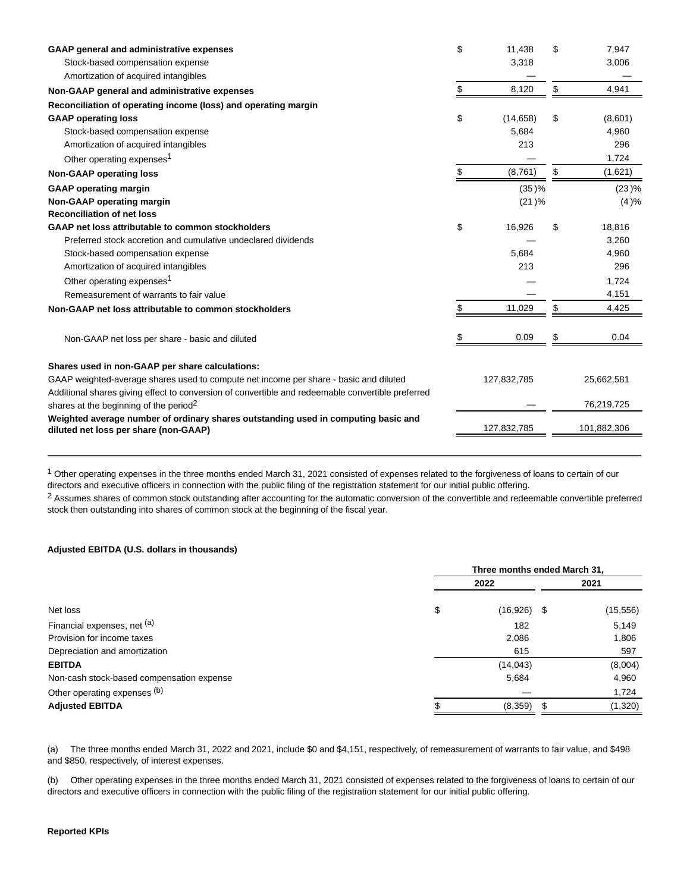| <b>GAAP general and administrative expenses</b>                                                                             | \$<br>11,438    | \$<br>7,947   |
|-----------------------------------------------------------------------------------------------------------------------------|-----------------|---------------|
| Stock-based compensation expense                                                                                            | 3,318           | 3,006         |
| Amortization of acquired intangibles                                                                                        |                 |               |
| Non-GAAP general and administrative expenses                                                                                | \$<br>8,120     | \$<br>4,941   |
| Reconciliation of operating income (loss) and operating margin                                                              |                 |               |
| <b>GAAP operating loss</b>                                                                                                  | \$<br>(14, 658) | \$<br>(8,601) |
| Stock-based compensation expense                                                                                            | 5,684           | 4,960         |
| Amortization of acquired intangibles                                                                                        | 213             | 296           |
| Other operating expenses <sup>1</sup>                                                                                       |                 | 1,724         |
| <b>Non-GAAP operating loss</b>                                                                                              | (8,761)         | \$<br>(1,621) |
| <b>GAAP</b> operating margin                                                                                                | (35)%           | (23)%         |
| Non-GAAP operating margin                                                                                                   | (21)%           | (4)%          |
| <b>Reconciliation of net loss</b>                                                                                           |                 |               |
| GAAP net loss attributable to common stockholders                                                                           | \$<br>16,926    | \$<br>18,816  |
| Preferred stock accretion and cumulative undeclared dividends                                                               |                 | 3,260         |
| Stock-based compensation expense                                                                                            | 5,684           | 4,960         |
| Amortization of acquired intangibles                                                                                        | 213             | 296           |
| Other operating expenses <sup>1</sup>                                                                                       |                 | 1,724         |
| Remeasurement of warrants to fair value                                                                                     |                 | 4,151         |
| Non-GAAP net loss attributable to common stockholders                                                                       | 11,029          | \$<br>4,425   |
| Non-GAAP net loss per share - basic and diluted                                                                             | 0.09            | \$<br>0.04    |
| Shares used in non-GAAP per share calculations:                                                                             |                 |               |
| GAAP weighted-average shares used to compute net income per share - basic and diluted                                       | 127,832,785     | 25,662,581    |
| Additional shares giving effect to conversion of convertible and redeemable convertible preferred                           |                 |               |
| shares at the beginning of the period <sup>2</sup>                                                                          |                 | 76,219,725    |
| Weighted average number of ordinary shares outstanding used in computing basic and<br>diluted net loss per share (non-GAAP) | 127,832,785     | 101,882,306   |
|                                                                                                                             |                 |               |

<sup>1</sup> Other operating expenses in the three months ended March 31, 2021 consisted of expenses related to the forgiveness of loans to certain of our directors and executive officers in connection with the public filing of the registration statement for our initial public offering.

<sup>2</sup> Assumes shares of common stock outstanding after accounting for the automatic conversion of the convertible and redeemable convertible preferred stock then outstanding into shares of common stock at the beginning of the fiscal year.

#### **Adjusted EBITDA (U.S. dollars in thousands)**

|                                           | Three months ended March 31, |                   |  |
|-------------------------------------------|------------------------------|-------------------|--|
|                                           | 2022                         | 2021              |  |
| \$<br>Net loss                            | (16,926)                     | (15, 556)<br>- \$ |  |
| Financial expenses, net (a)               | 182                          | 5,149             |  |
| Provision for income taxes                | 2,086                        | 1,806             |  |
| Depreciation and amortization             | 615                          | 597               |  |
| <b>EBITDA</b>                             | (14, 043)                    | (8,004)           |  |
| Non-cash stock-based compensation expense | 5,684                        | 4,960             |  |
| Other operating expenses (b)              |                              | 1,724             |  |
| <b>Adjusted EBITDA</b>                    | (8,359)                      | (1,320)           |  |

(a) The three months ended March 31, 2022 and 2021, include \$0 and \$4,151, respectively, of remeasurement of warrants to fair value, and \$498 and \$850, respectively, of interest expenses.

(b) Other operating expenses in the three months ended March 31, 2021 consisted of expenses related to the forgiveness of loans to certain of our directors and executive officers in connection with the public filing of the registration statement for our initial public offering.